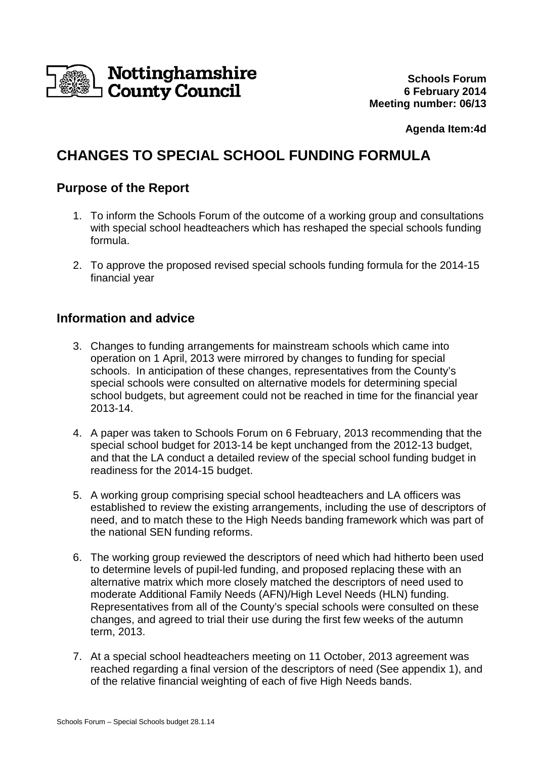

**Agenda Item:4d** 

# **CHANGES TO SPECIAL SCHOOL FUNDING FORMULA**

## **Purpose of the Report**

- 1. To inform the Schools Forum of the outcome of a working group and consultations with special school headteachers which has reshaped the special schools funding formula.
- 2. To approve the proposed revised special schools funding formula for the 2014-15 financial year

# **Information and advice**

- 3. Changes to funding arrangements for mainstream schools which came into operation on 1 April, 2013 were mirrored by changes to funding for special schools. In anticipation of these changes, representatives from the County's special schools were consulted on alternative models for determining special school budgets, but agreement could not be reached in time for the financial year 2013-14.
- 4. A paper was taken to Schools Forum on 6 February, 2013 recommending that the special school budget for 2013-14 be kept unchanged from the 2012-13 budget, and that the LA conduct a detailed review of the special school funding budget in readiness for the 2014-15 budget.
- 5. A working group comprising special school headteachers and LA officers was established to review the existing arrangements, including the use of descriptors of need, and to match these to the High Needs banding framework which was part of the national SEN funding reforms.
- 6. The working group reviewed the descriptors of need which had hitherto been used to determine levels of pupil-led funding, and proposed replacing these with an alternative matrix which more closely matched the descriptors of need used to moderate Additional Family Needs (AFN)/High Level Needs (HLN) funding. Representatives from all of the County's special schools were consulted on these changes, and agreed to trial their use during the first few weeks of the autumn term, 2013.
- 7. At a special school headteachers meeting on 11 October, 2013 agreement was reached regarding a final version of the descriptors of need (See appendix 1), and of the relative financial weighting of each of five High Needs bands.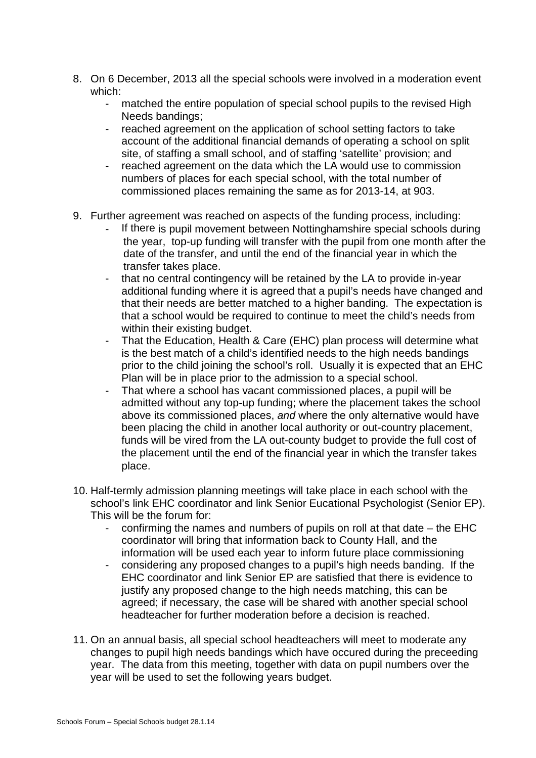- 8. On 6 December, 2013 all the special schools were involved in a moderation event which:
	- matched the entire population of special school pupils to the revised High Needs bandings;
	- reached agreement on the application of school setting factors to take account of the additional financial demands of operating a school on split site, of staffing a small school, and of staffing 'satellite' provision; and
	- reached agreement on the data which the LA would use to commission numbers of places for each special school, with the total number of commissioned places remaining the same as for 2013-14, at 903.
- 9. Further agreement was reached on aspects of the funding process, including:
	- If there is pupil movement between Nottinghamshire special schools during the year, top-up funding will transfer with the pupil from one month after the date of the transfer, and until the end of the financial year in which the transfer takes place.
	- that no central contingency will be retained by the LA to provide in-year additional funding where it is agreed that a pupil's needs have changed and that their needs are better matched to a higher banding. The expectation is that a school would be required to continue to meet the child's needs from within their existing budget.
	- That the Education, Health & Care (EHC) plan process will determine what is the best match of a child's identified needs to the high needs bandings prior to the child joining the school's roll. Usually it is expected that an EHC Plan will be in place prior to the admission to a special school.
	- That where a school has vacant commissioned places, a pupil will be admitted without any top-up funding; where the placement takes the school above its commissioned places, and where the only alternative would have been placing the child in another local authority or out-country placement, funds will be vired from the LA out-county budget to provide the full cost of the placement until the end of the financial year in which the transfer takes place.
- 10. Half-termly admission planning meetings will take place in each school with the school's link EHC coordinator and link Senior Eucational Psychologist (Senior EP). This will be the forum for:
	- confirming the names and numbers of pupils on roll at that date the EHC coordinator will bring that information back to County Hall, and the information will be used each year to inform future place commissioning
	- considering any proposed changes to a pupil's high needs banding. If the EHC coordinator and link Senior EP are satisfied that there is evidence to justify any proposed change to the high needs matching, this can be agreed; if necessary, the case will be shared with another special school headteacher for further moderation before a decision is reached.
- 11. On an annual basis, all special school headteachers will meet to moderate any changes to pupil high needs bandings which have occured during the preceeding year. The data from this meeting, together with data on pupil numbers over the year will be used to set the following years budget.